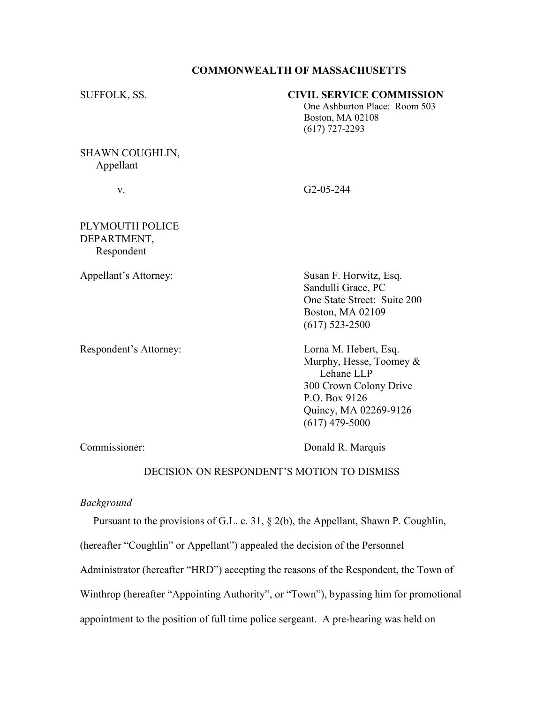## COMMONWEALTH OF MASSACHUSETTS

## SUFFOLK, SS. CIVIL SERVICE COMMISSION

 One Ashburton Place: Room 503 Boston, MA 02108 (617) 727-2293

## SHAWN COUGHLIN, Appellant

v. G2-05-244

# PLYMOUTH POLICE DEPARTMENT, Respondent

Respondent's Attorney: Lorna M. Hebert, Esq.

Appellant's Attorney: Susan F. Horwitz, Esq. Sandulli Grace, PC One State Street: Suite 200 Boston, MA 02109 (617) 523-2500

> Murphy, Hesse, Toomey & Lehane LLP 300 Crown Colony Drive P.O. Box 9126 Quincy, MA 02269-9126 (617) 479-5000

Commissioner: Donald R. Marquis

## DECISION ON RESPONDENT'S MOTION TO DISMISS

#### Background

 Pursuant to the provisions of G.L. c. 31, § 2(b), the Appellant, Shawn P. Coughlin, (hereafter "Coughlin" or Appellant") appealed the decision of the Personnel Administrator (hereafter "HRD") accepting the reasons of the Respondent, the Town of Winthrop (hereafter "Appointing Authority", or "Town"), bypassing him for promotional appointment to the position of full time police sergeant. A pre-hearing was held on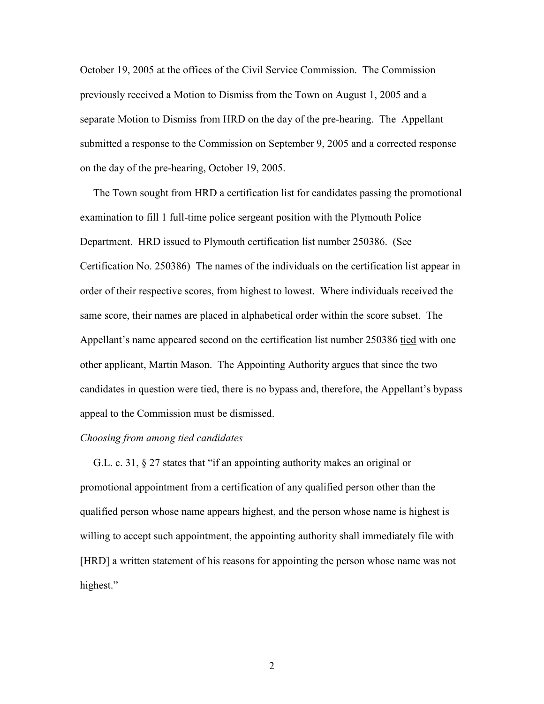October 19, 2005 at the offices of the Civil Service Commission. The Commission previously received a Motion to Dismiss from the Town on August 1, 2005 and a separate Motion to Dismiss from HRD on the day of the pre-hearing. The Appellant submitted a response to the Commission on September 9, 2005 and a corrected response on the day of the pre-hearing, October 19, 2005.

 The Town sought from HRD a certification list for candidates passing the promotional examination to fill 1 full-time police sergeant position with the Plymouth Police Department. HRD issued to Plymouth certification list number 250386. (See Certification No. 250386) The names of the individuals on the certification list appear in order of their respective scores, from highest to lowest. Where individuals received the same score, their names are placed in alphabetical order within the score subset. The Appellant's name appeared second on the certification list number 250386 tied with one other applicant, Martin Mason. The Appointing Authority argues that since the two candidates in question were tied, there is no bypass and, therefore, the Appellant's bypass appeal to the Commission must be dismissed.

#### Choosing from among tied candidates

 G.L. c. 31, § 27 states that "if an appointing authority makes an original or promotional appointment from a certification of any qualified person other than the qualified person whose name appears highest, and the person whose name is highest is willing to accept such appointment, the appointing authority shall immediately file with [HRD] a written statement of his reasons for appointing the person whose name was not highest."

2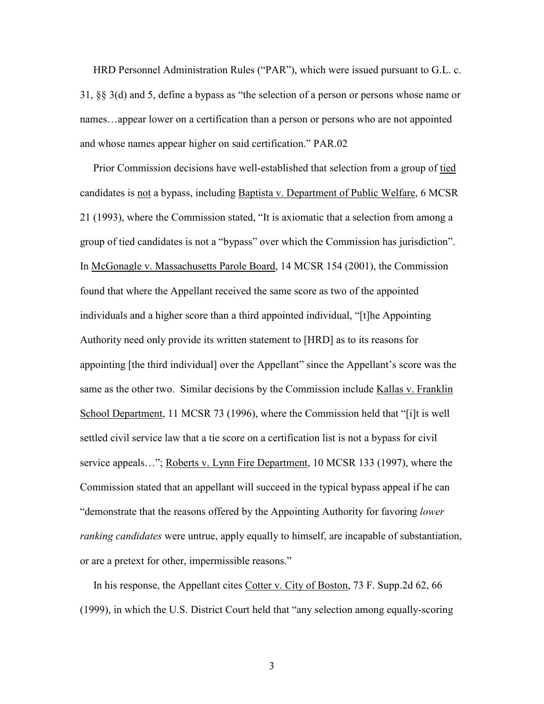HRD Personnel Administration Rules ("PAR"), which were issued pursuant to G.L. c. 31, §§ 3(d) and 5, define a bypass as "the selection of a person or persons whose name or names…appear lower on a certification than a person or persons who are not appointed and whose names appear higher on said certification." PAR.02

 Prior Commission decisions have well-established that selection from a group of tied candidates is not a bypass, including Baptista v. Department of Public Welfare, 6 MCSR 21 (1993), where the Commission stated, "It is axiomatic that a selection from among a group of tied candidates is not a "bypass" over which the Commission has jurisdiction". In McGonagle v. Massachusetts Parole Board, 14 MCSR 154 (2001), the Commission found that where the Appellant received the same score as two of the appointed individuals and a higher score than a third appointed individual, "[t]he Appointing Authority need only provide its written statement to [HRD] as to its reasons for appointing [the third individual] over the Appellant" since the Appellant's score was the same as the other two. Similar decisions by the Commission include Kallas v. Franklin School Department, 11 MCSR 73 (1996), where the Commission held that "[i]t is well settled civil service law that a tie score on a certification list is not a bypass for civil service appeals…"; Roberts v. Lynn Fire Department, 10 MCSR 133 (1997), where the Commission stated that an appellant will succeed in the typical bypass appeal if he can "demonstrate that the reasons offered by the Appointing Authority for favoring lower *ranking candidates* were untrue, apply equally to himself, are incapable of substantiation, or are a pretext for other, impermissible reasons."

 In his response, the Appellant cites Cotter v. City of Boston, 73 F. Supp.2d 62, 66 (1999), in which the U.S. District Court held that "any selection among equally-scoring

3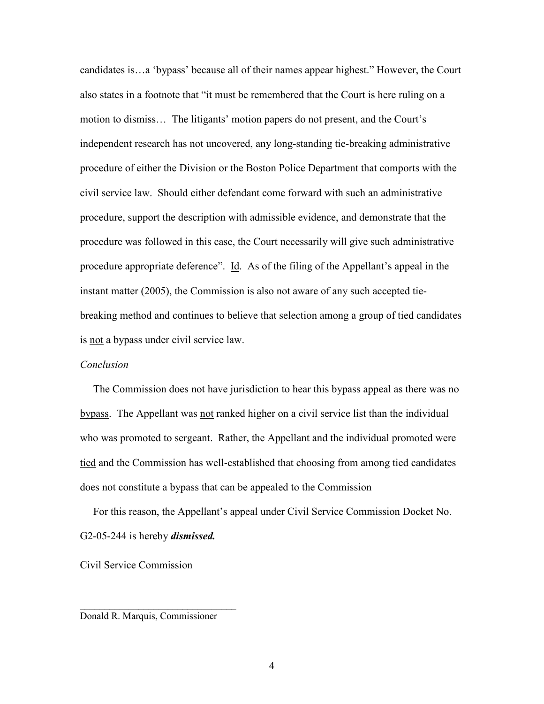candidates is…a 'bypass' because all of their names appear highest." However, the Court also states in a footnote that "it must be remembered that the Court is here ruling on a motion to dismiss… The litigants' motion papers do not present, and the Court's independent research has not uncovered, any long-standing tie-breaking administrative procedure of either the Division or the Boston Police Department that comports with the civil service law. Should either defendant come forward with such an administrative procedure, support the description with admissible evidence, and demonstrate that the procedure was followed in this case, the Court necessarily will give such administrative procedure appropriate deference". Id. As of the filing of the Appellant's appeal in the instant matter (2005), the Commission is also not aware of any such accepted tiebreaking method and continues to believe that selection among a group of tied candidates is not a bypass under civil service law.

#### Conclusion

The Commission does not have jurisdiction to hear this bypass appeal as there was no bypass. The Appellant was not ranked higher on a civil service list than the individual who was promoted to sergeant. Rather, the Appellant and the individual promoted were tied and the Commission has well-established that choosing from among tied candidates does not constitute a bypass that can be appealed to the Commission

 For this reason, the Appellant's appeal under Civil Service Commission Docket No. G2-05-244 is hereby *dismissed*.

Civil Service Commission

Donald R. Marquis, Commissioner

\_\_\_\_\_\_\_\_\_\_\_\_\_\_\_\_\_\_\_\_\_\_\_\_\_\_\_\_\_\_\_\_